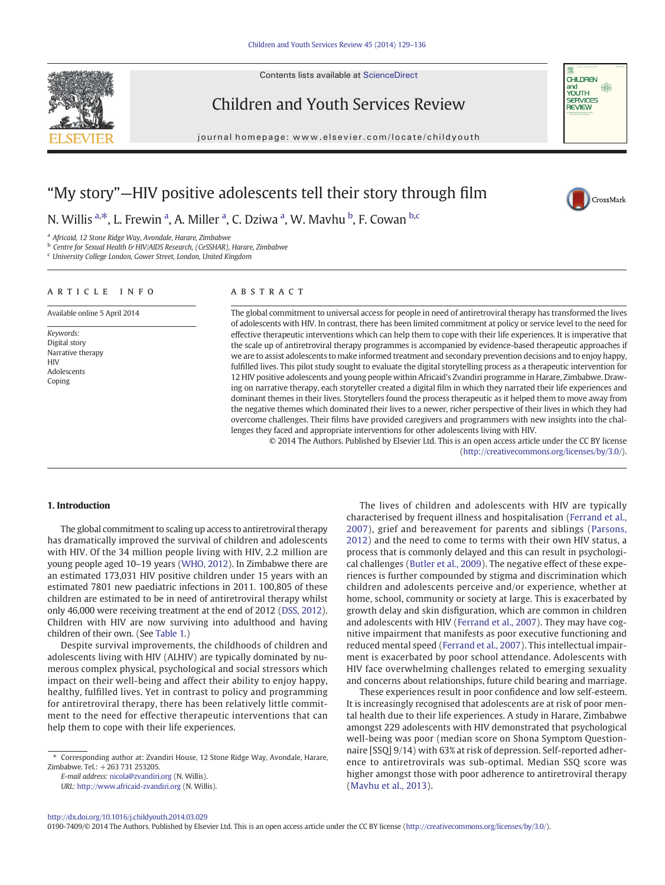Contents lists available at [ScienceDirect](http://www.sciencedirect.com/science/journal/01907409)



Children and Youth Services Review

journal homepage: www.elsevier.com/locate/childyouth



CrossMark

# "My story"—HIV positive adolescents tell their story through film

N. Willis <sup>a,\*</sup>, L. Frewin <sup>a</sup>, A. Miller <sup>a</sup>, C. Dziwa <sup>a</sup>, W. Mavhu <sup>b</sup>, F. Cowan <sup>b,c</sup>

<sup>a</sup> Africaid, 12 Stone Ridge Way, Avondale, Harare, Zimbabwe

b Centre for Sexual Health & HIV/AIDS Research, (CeSSHAR), Harare, Zimbabwe

<sup>c</sup> University College London, Gower Street, London, United Kingdom

# article info abstract

Available online 5 April 2014

Keywords: Digital story Narrative therapy **HIV** Adolescents Coping

The global commitment to universal access for people in need of antiretroviral therapy has transformed the lives of adolescents with HIV. In contrast, there has been limited commitment at policy or service level to the need for effective therapeutic interventions which can help them to cope with their life experiences. It is imperative that the scale up of antiretroviral therapy programmes is accompanied by evidence-based therapeutic approaches if we are to assist adolescents to make informed treatment and secondary prevention decisions and to enjoy happy, fulfilled lives. This pilot study sought to evaluate the digital storytelling process as a therapeutic intervention for 12 HIV positive adolescents and young people within Africaid's Zvandiri programme in Harare, Zimbabwe. Drawing on narrative therapy, each storyteller created a digital film in which they narrated their life experiences and dominant themes in their lives. Storytellers found the process therapeutic as it helped them to move away from the negative themes which dominated their lives to a newer, richer perspective of their lives in which they had overcome challenges. Their films have provided caregivers and programmers with new insights into the challenges they faced and appropriate interventions for other adolescents living with HIV.

© 2014 The Authors. Published by Elsevier Ltd. This is an open access article under the CC BY license [\(http://creativecommons.org/licenses/by/3.0/\)](http://creativecommons.org/licenses/by-nc-sa/3.0/).

#### 1. Introduction

The global commitment to scaling up access to antiretroviral therapy has dramatically improved the survival of children and adolescents with HIV. Of the 34 million people living with HIV, 2.2 million are young people aged 10–19 years ([WHO, 2012](#page-7-0)). In Zimbabwe there are an estimated 173,031 HIV positive children under 15 years with an estimated 7801 new paediatric infections in 2011. 100,805 of these children are estimated to be in need of antiretroviral therapy whilst only 46,000 were receiving treatment at the end of 2012 [\(DSS, 2012](#page-7-0)). Children with HIV are now surviving into adulthood and having children of their own. (See [Table 1](#page-1-0).)

Despite survival improvements, the childhoods of children and adolescents living with HIV (ALHIV) are typically dominated by numerous complex physical, psychological and social stressors which impact on their well-being and affect their ability to enjoy happy, healthy, fulfilled lives. Yet in contrast to policy and programming for antiretroviral therapy, there has been relatively little commitment to the need for effective therapeutic interventions that can help them to cope with their life experiences.

E-mail address: [nicola@zvandiri.org](mailto:nicola@zvandiri.org) (N. Willis).

URL: <http://www.africaid-zvandiri.org> (N. Willis).

The lives of children and adolescents with HIV are typically characterised by frequent illness and hospitalisation ([Ferrand et al.,](#page-7-0) [2007\)](#page-7-0), grief and bereavement for parents and siblings ([Parsons,](#page-7-0) [2012](#page-7-0)) and the need to come to terms with their own HIV status, a process that is commonly delayed and this can result in psychological challenges [\(Butler et al., 2009](#page-7-0)). The negative effect of these experiences is further compounded by stigma and discrimination which children and adolescents perceive and/or experience, whether at home, school, community or society at large. This is exacerbated by growth delay and skin disfiguration, which are common in children and adolescents with HIV ([Ferrand et al., 2007\)](#page-7-0). They may have cognitive impairment that manifests as poor executive functioning and reduced mental speed ([Ferrand et al., 2007](#page-7-0)). This intellectual impairment is exacerbated by poor school attendance. Adolescents with HIV face overwhelming challenges related to emerging sexuality and concerns about relationships, future child bearing and marriage.

These experiences result in poor confidence and low self-esteem. It is increasingly recognised that adolescents are at risk of poor mental health due to their life experiences. A study in Harare, Zimbabwe amongst 229 adolescents with HIV demonstrated that psychological well-being was poor (median score on Shona Symptom Questionnaire [SSQ] 9/14) with 63% at risk of depression. Self-reported adherence to antiretrovirals was sub-optimal. Median SSQ score was higher amongst those with poor adherence to antiretroviral therapy [\(Mavhu et al., 2013](#page-7-0)).

0190-7409/© 2014 The Authors. Published by Elsevier Ltd. This is an open access article under the CC BY license ([http://creativecommons.org/licenses/by/3.0/](http://creativecommons.org/licenses/by-nc-sa/3.0/)).

<sup>⁎</sup> Corresponding author at: Zvandiri House, 12 Stone Ridge Way, Avondale, Harare, Zimbabwe. Tel.: +263 731 253205.

<http://dx.doi.org/10.1016/j.childyouth.2014.03.029>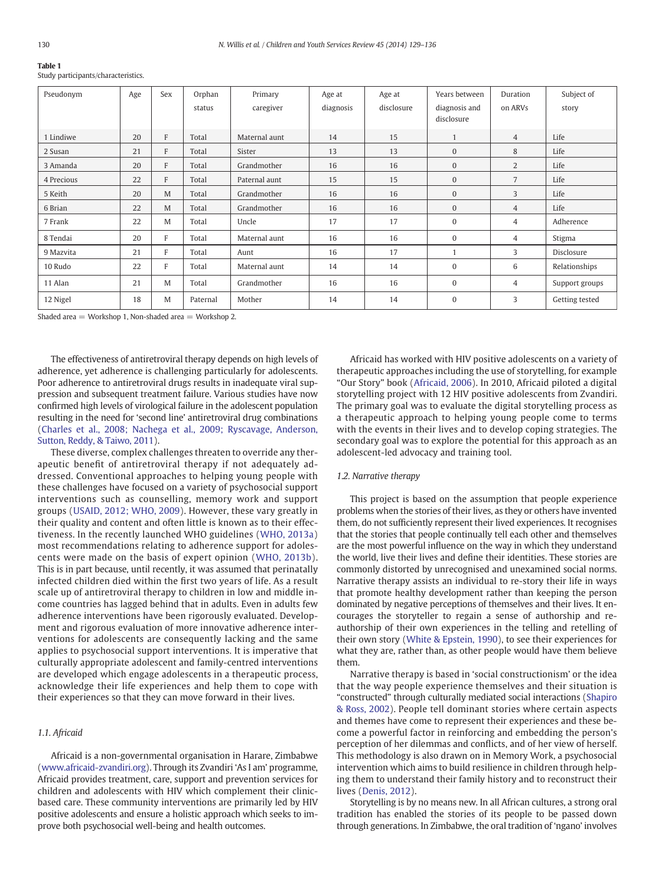#### <span id="page-1-0"></span>Table 1 Study participants/characteristics.

| Pseudonym  | Age | Sex          | Orphan   | Primary       | Age at    | Age at     | Years between | Duration       | Subject of     |
|------------|-----|--------------|----------|---------------|-----------|------------|---------------|----------------|----------------|
|            |     |              | status   | caregiver     | diagnosis | disclosure | diagnosis and | on ARVs        | story          |
|            |     |              |          |               |           |            | disclosure    |                |                |
| 1 Lindiwe  | 20  | F            | Total    | Maternal aunt | 14        | 15         |               | $\overline{4}$ | Life           |
| 2 Susan    | 21  | $\mathbf{F}$ | Total    | Sister        | 13        | 13         | $\mathbf{0}$  | 8              | Life           |
| 3 Amanda   | 20  | F            | Total    | Grandmother   | 16        | 16         | $\mathbf{0}$  | $\overline{2}$ | Life           |
| 4 Precious | 22  | $\mathbf{F}$ | Total    | Paternal aunt | 15        | 15         | $\mathbf{0}$  | $\overline{7}$ | Life           |
| 5 Keith    | 20  | M            | Total    | Grandmother   | 16        | 16         | $\mathbf{0}$  | 3              | Life           |
| 6 Brian    | 22  | M            | Total    | Grandmother   | 16        | 16         | $\bf{0}$      | $\overline{4}$ | Life           |
| 7 Frank    | 22  | M            | Total    | Uncle         | 17        | 17         | $\mathbf{0}$  | 4              | Adherence      |
| 8 Tendai   | 20  | F            | Total    | Maternal aunt | 16        | 16         | $\mathbf{0}$  | 4              | Stigma         |
| 9 Mazvita  | 21  | F            | Total    | Aunt          | 16        | 17         |               | 3              | Disclosure     |
| 10 Rudo    | 22  | F            | Total    | Maternal aunt | 14        | 14         | $\bf{0}$      | 6              | Relationships  |
| 11 Alan    | 21  | M            | Total    | Grandmother   | 16        | 16         | $\mathbf{0}$  | 4              | Support groups |
| 12 Nigel   | 18  | M            | Paternal | Mother        | 14        | 14         | $\mathbf{0}$  | 3              | Getting tested |

Shaded area  $=$  Workshop 1, Non-shaded area  $=$  Workshop 2.

The effectiveness of antiretroviral therapy depends on high levels of adherence, yet adherence is challenging particularly for adolescents. Poor adherence to antiretroviral drugs results in inadequate viral suppression and subsequent treatment failure. Various studies have now confirmed high levels of virological failure in the adolescent population resulting in the need for 'second line' antiretroviral drug combinations [\(Charles et al., 2008; Nachega et al., 2009; Ryscavage, Anderson,](#page-7-0) [Sutton, Reddy, & Taiwo, 2011\)](#page-7-0).

These diverse, complex challenges threaten to override any therapeutic benefit of antiretroviral therapy if not adequately addressed. Conventional approaches to helping young people with these challenges have focused on a variety of psychosocial support interventions such as counselling, memory work and support groups ([USAID, 2012; WHO, 2009](#page-7-0)). However, these vary greatly in their quality and content and often little is known as to their effectiveness. In the recently launched WHO guidelines ([WHO, 2013a](#page-7-0)) most recommendations relating to adherence support for adolescents were made on the basis of expert opinion ([WHO, 2013b](#page-7-0)). This is in part because, until recently, it was assumed that perinatally infected children died within the first two years of life. As a result scale up of antiretroviral therapy to children in low and middle income countries has lagged behind that in adults. Even in adults few adherence interventions have been rigorously evaluated. Development and rigorous evaluation of more innovative adherence interventions for adolescents are consequently lacking and the same applies to psychosocial support interventions. It is imperative that culturally appropriate adolescent and family-centred interventions are developed which engage adolescents in a therapeutic process, acknowledge their life experiences and help them to cope with their experiences so that they can move forward in their lives.

# 1.1. Africaid

Africaid is a non-governmental organisation in Harare, Zimbabwe [\(www.africaid-zvandiri.org\)](http://www.africaid-zvandiri.org). Through its Zvandiri 'As I am' programme, Africaid provides treatment, care, support and prevention services for children and adolescents with HIV which complement their clinicbased care. These community interventions are primarily led by HIV positive adolescents and ensure a holistic approach which seeks to improve both psychosocial well-being and health outcomes.

Africaid has worked with HIV positive adolescents on a variety of therapeutic approaches including the use of storytelling, for example "Our Story" book ([Africaid, 2006\)](#page-6-0). In 2010, Africaid piloted a digital storytelling project with 12 HIV positive adolescents from Zvandiri. The primary goal was to evaluate the digital storytelling process as a therapeutic approach to helping young people come to terms with the events in their lives and to develop coping strategies. The secondary goal was to explore the potential for this approach as an adolescent-led advocacy and training tool.

#### 1.2. Narrative therapy

This project is based on the assumption that people experience problems when the stories of their lives, as they or others have invented them, do not sufficiently represent their lived experiences. It recognises that the stories that people continually tell each other and themselves are the most powerful influence on the way in which they understand the world, live their lives and define their identities. These stories are commonly distorted by unrecognised and unexamined social norms. Narrative therapy assists an individual to re-story their life in ways that promote healthy development rather than keeping the person dominated by negative perceptions of themselves and their lives. It encourages the storyteller to regain a sense of authorship and reauthorship of their own experiences in the telling and retelling of their own story [\(White & Epstein, 1990\)](#page-7-0), to see their experiences for what they are, rather than, as other people would have them believe them.

Narrative therapy is based in 'social constructionism' or the idea that the way people experience themselves and their situation is "constructed" through culturally mediated social interactions [\(Shapiro](#page-7-0) [& Ross, 2002](#page-7-0)). People tell dominant stories where certain aspects and themes have come to represent their experiences and these become a powerful factor in reinforcing and embedding the person's perception of her dilemmas and conflicts, and of her view of herself. This methodology is also drawn on in Memory Work, a psychosocial intervention which aims to build resilience in children through helping them to understand their family history and to reconstruct their lives ([Denis, 2012\)](#page-7-0).

Storytelling is by no means new. In all African cultures, a strong oral tradition has enabled the stories of its people to be passed down through generations. In Zimbabwe, the oral tradition of 'ngano' involves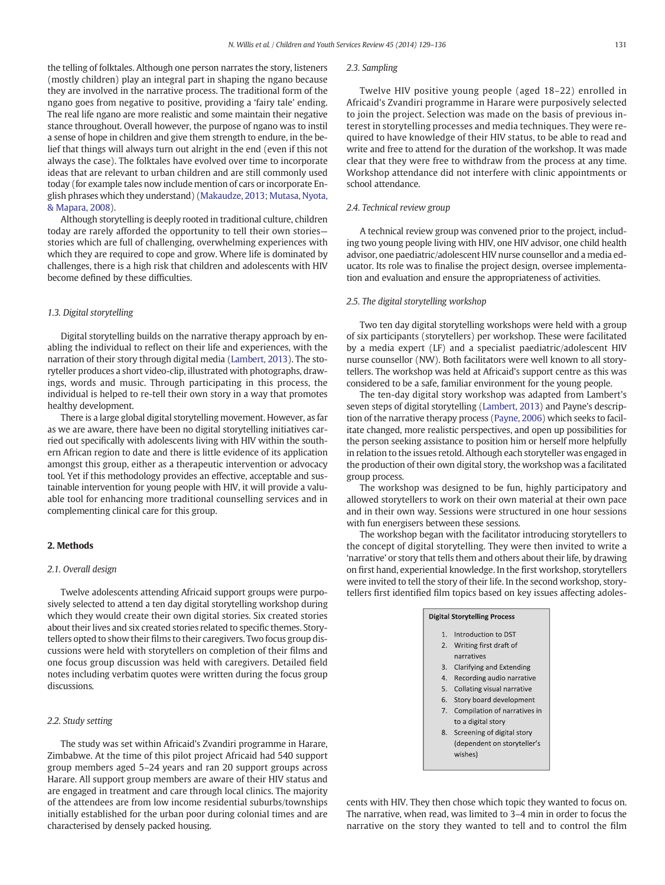the telling of folktales. Although one person narrates the story, listeners (mostly children) play an integral part in shaping the ngano because they are involved in the narrative process. The traditional form of the ngano goes from negative to positive, providing a 'fairy tale' ending. The real life ngano are more realistic and some maintain their negative stance throughout. Overall however, the purpose of ngano was to instil a sense of hope in children and give them strength to endure, in the belief that things will always turn out alright in the end (even if this not always the case). The folktales have evolved over time to incorporate ideas that are relevant to urban children and are still commonly used today (for example tales now include mention of cars or incorporate English phrases which they understand) [\(Makaudze, 2013; Mutasa, Nyota,](#page-7-0) [& Mapara, 2008\)](#page-7-0).

Although storytelling is deeply rooted in traditional culture, children today are rarely afforded the opportunity to tell their own stories stories which are full of challenging, overwhelming experiences with which they are required to cope and grow. Where life is dominated by challenges, there is a high risk that children and adolescents with HIV become defined by these difficulties.

# 1.3. Digital storytelling

Digital storytelling builds on the narrative therapy approach by enabling the individual to reflect on their life and experiences, with the narration of their story through digital media [\(Lambert, 2013\)](#page-7-0). The storyteller produces a short video-clip, illustrated with photographs, drawings, words and music. Through participating in this process, the individual is helped to re-tell their own story in a way that promotes healthy development.

There is a large global digital storytelling movement. However, as far as we are aware, there have been no digital storytelling initiatives carried out specifically with adolescents living with HIV within the southern African region to date and there is little evidence of its application amongst this group, either as a therapeutic intervention or advocacy tool. Yet if this methodology provides an effective, acceptable and sustainable intervention for young people with HIV, it will provide a valuable tool for enhancing more traditional counselling services and in complementing clinical care for this group.

# 2. Methods

# 2.1. Overall design

Twelve adolescents attending Africaid support groups were purposively selected to attend a ten day digital storytelling workshop during which they would create their own digital stories. Six created stories about their lives and six created stories related to specific themes. Storytellers opted to show their films to their caregivers. Two focus group discussions were held with storytellers on completion of their films and one focus group discussion was held with caregivers. Detailed field notes including verbatim quotes were written during the focus group discussions.

#### 2.2. Study setting

The study was set within Africaid's Zvandiri programme in Harare, Zimbabwe. At the time of this pilot project Africaid had 540 support group members aged 5–24 years and ran 20 support groups across Harare. All support group members are aware of their HIV status and are engaged in treatment and care through local clinics. The majority of the attendees are from low income residential suburbs/townships initially established for the urban poor during colonial times and are characterised by densely packed housing.

#### 2.3. Sampling

Twelve HIV positive young people (aged 18–22) enrolled in Africaid's Zvandiri programme in Harare were purposively selected to join the project. Selection was made on the basis of previous interest in storytelling processes and media techniques. They were required to have knowledge of their HIV status, to be able to read and write and free to attend for the duration of the workshop. It was made clear that they were free to withdraw from the process at any time. Workshop attendance did not interfere with clinic appointments or school attendance.

#### 2.4. Technical review group

A technical review group was convened prior to the project, including two young people living with HIV, one HIV advisor, one child health advisor, one paediatric/adolescent HIV nurse counsellor and a media educator. Its role was to finalise the project design, oversee implementation and evaluation and ensure the appropriateness of activities.

# 2.5. The digital storytelling workshop

Two ten day digital storytelling workshops were held with a group of six participants (storytellers) per workshop. These were facilitated by a media expert (LF) and a specialist paediatric/adolescent HIV nurse counsellor (NW). Both facilitators were well known to all storytellers. The workshop was held at Africaid's support centre as this was considered to be a safe, familiar environment for the young people.

The ten-day digital story workshop was adapted from Lambert's seven steps of digital storytelling [\(Lambert, 2013](#page-7-0)) and Payne's description of the narrative therapy process ([Payne, 2006](#page-7-0)) which seeks to facilitate changed, more realistic perspectives, and open up possibilities for the person seeking assistance to position him or herself more helpfully in relation to the issues retold. Although each storyteller was engaged in the production of their own digital story, the workshop was a facilitated group process.

The workshop was designed to be fun, highly participatory and allowed storytellers to work on their own material at their own pace and in their own way. Sessions were structured in one hour sessions with fun energisers between these sessions.

The workshop began with the facilitator introducing storytellers to the concept of digital storytelling. They were then invited to write a 'narrative' or story that tells them and others about their life, by drawing on first hand, experiential knowledge. In the first workshop, storytellers were invited to tell the story of their life. In the second workshop, storytellers first identified film topics based on key issues affecting adoles-

# **Digital Storytelling Process**

| 1. Introduction to DST    |
|---------------------------|
| 2. Writing first draft of |
| parrativos                |

- 3. Clarifying and Extending
- 4. Recording audio narrative
- 5. Collating visual narrative
- 6. Story board development
- 7. Compilation of narratives in
- to a digital story 8. Screening of digital story
- (dependent on storyteller's wishes)

cents with HIV. They then chose which topic they wanted to focus on. The narrative, when read, was limited to 3–4 min in order to focus the narrative on the story they wanted to tell and to control the film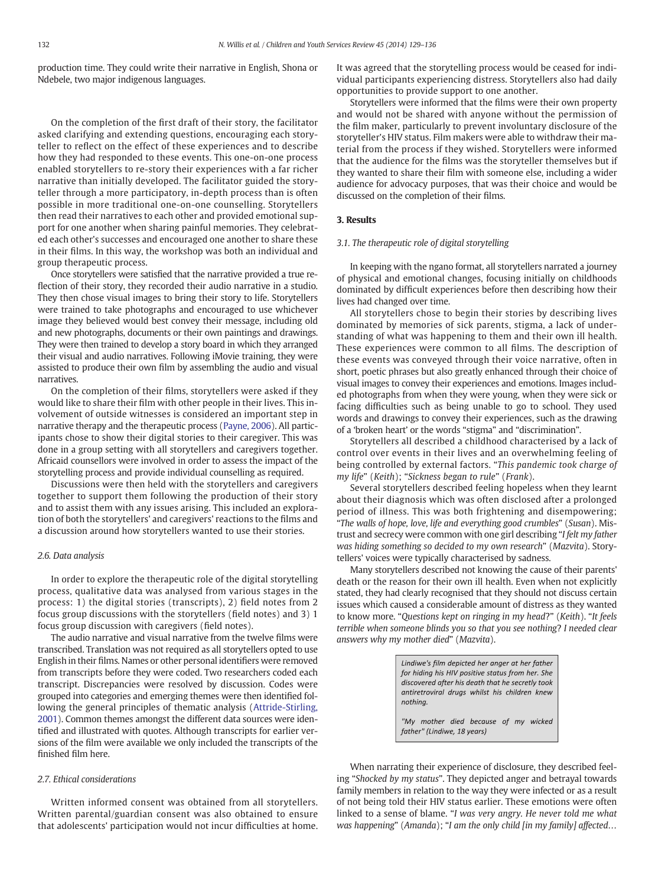production time. They could write their narrative in English, Shona or Ndebele, two major indigenous languages.

On the completion of the first draft of their story, the facilitator asked clarifying and extending questions, encouraging each storyteller to reflect on the effect of these experiences and to describe how they had responded to these events. This one-on-one process enabled storytellers to re-story their experiences with a far richer narrative than initially developed. The facilitator guided the storyteller through a more participatory, in-depth process than is often possible in more traditional one-on-one counselling. Storytellers then read their narratives to each other and provided emotional support for one another when sharing painful memories. They celebrated each other's successes and encouraged one another to share these in their films. In this way, the workshop was both an individual and group therapeutic process.

Once storytellers were satisfied that the narrative provided a true reflection of their story, they recorded their audio narrative in a studio. They then chose visual images to bring their story to life. Storytellers were trained to take photographs and encouraged to use whichever image they believed would best convey their message, including old and new photographs, documents or their own paintings and drawings. They were then trained to develop a story board in which they arranged their visual and audio narratives. Following iMovie training, they were assisted to produce their own film by assembling the audio and visual narratives.

On the completion of their films, storytellers were asked if they would like to share their film with other people in their lives. This involvement of outside witnesses is considered an important step in narrative therapy and the therapeutic process [\(Payne, 2006\)](#page-7-0). All participants chose to show their digital stories to their caregiver. This was done in a group setting with all storytellers and caregivers together. Africaid counsellors were involved in order to assess the impact of the storytelling process and provide individual counselling as required.

Discussions were then held with the storytellers and caregivers together to support them following the production of their story and to assist them with any issues arising. This included an exploration of both the storytellers' and caregivers' reactions to the films and a discussion around how storytellers wanted to use their stories.

#### 2.6. Data analysis

In order to explore the therapeutic role of the digital storytelling process, qualitative data was analysed from various stages in the process: 1) the digital stories (transcripts), 2) field notes from 2 focus group discussions with the storytellers (field notes) and 3) 1 focus group discussion with caregivers (field notes).

The audio narrative and visual narrative from the twelve films were transcribed. Translation was not required as all storytellers opted to use English in their films. Names or other personal identifiers were removed from transcripts before they were coded. Two researchers coded each transcript. Discrepancies were resolved by discussion. Codes were grouped into categories and emerging themes were then identified following the general principles of thematic analysis ([Attride-Stirling,](#page-6-0) [2001\)](#page-6-0). Common themes amongst the different data sources were identified and illustrated with quotes. Although transcripts for earlier versions of the film were available we only included the transcripts of the finished film here.

# 2.7. Ethical considerations

Written informed consent was obtained from all storytellers. Written parental/guardian consent was also obtained to ensure that adolescents' participation would not incur difficulties at home. It was agreed that the storytelling process would be ceased for individual participants experiencing distress. Storytellers also had daily opportunities to provide support to one another.

Storytellers were informed that the films were their own property and would not be shared with anyone without the permission of the film maker, particularly to prevent involuntary disclosure of the storyteller's HIV status. Film makers were able to withdraw their material from the process if they wished. Storytellers were informed that the audience for the films was the storyteller themselves but if they wanted to share their film with someone else, including a wider audience for advocacy purposes, that was their choice and would be discussed on the completion of their films.

# 3. Results

### 3.1. The therapeutic role of digital storytelling

In keeping with the ngano format, all storytellers narrated a journey of physical and emotional changes, focusing initially on childhoods dominated by difficult experiences before then describing how their lives had changed over time.

All storytellers chose to begin their stories by describing lives dominated by memories of sick parents, stigma, a lack of understanding of what was happening to them and their own ill health. These experiences were common to all films. The description of these events was conveyed through their voice narrative, often in short, poetic phrases but also greatly enhanced through their choice of visual images to convey their experiences and emotions. Images included photographs from when they were young, when they were sick or facing difficulties such as being unable to go to school. They used words and drawings to convey their experiences, such as the drawing of a 'broken heart' or the words "stigma" and "discrimination".

Storytellers all described a childhood characterised by a lack of control over events in their lives and an overwhelming feeling of being controlled by external factors. "This pandemic took charge of my life" (Keith); "Sickness began to rule" (Frank).

Several storytellers described feeling hopeless when they learnt about their diagnosis which was often disclosed after a prolonged period of illness. This was both frightening and disempowering; "The walls of hope, love, life and everything good crumbles" (Susan). Mistrust and secrecy were common with one girl describing "I felt my father was hiding something so decided to my own research" (Mazvita). Storytellers' voices were typically characterised by sadness.

Many storytellers described not knowing the cause of their parents' death or the reason for their own ill health. Even when not explicitly stated, they had clearly recognised that they should not discuss certain issues which caused a considerable amount of distress as they wanted to know more. "Questions kept on ringing in my head?" (Keith). "It feels terrible when someone blinds you so that you see nothing? I needed clear answers why my mother died" (Mazvita).

> Lindiwe's film depicted her anger at her father for hiding his HIV positive status from her. She discovered after his death that he secretly took antiretroviral drugs whilst his children knew nothina

> "My mother died because of my wicked father" (Lindiwe, 18 years)

When narrating their experience of disclosure, they described feeling "Shocked by my status". They depicted anger and betrayal towards family members in relation to the way they were infected or as a result of not being told their HIV status earlier. These emotions were often linked to a sense of blame. "I was very angry. He never told me what was happening" (Amanda); "I am the only child [in my family] affected...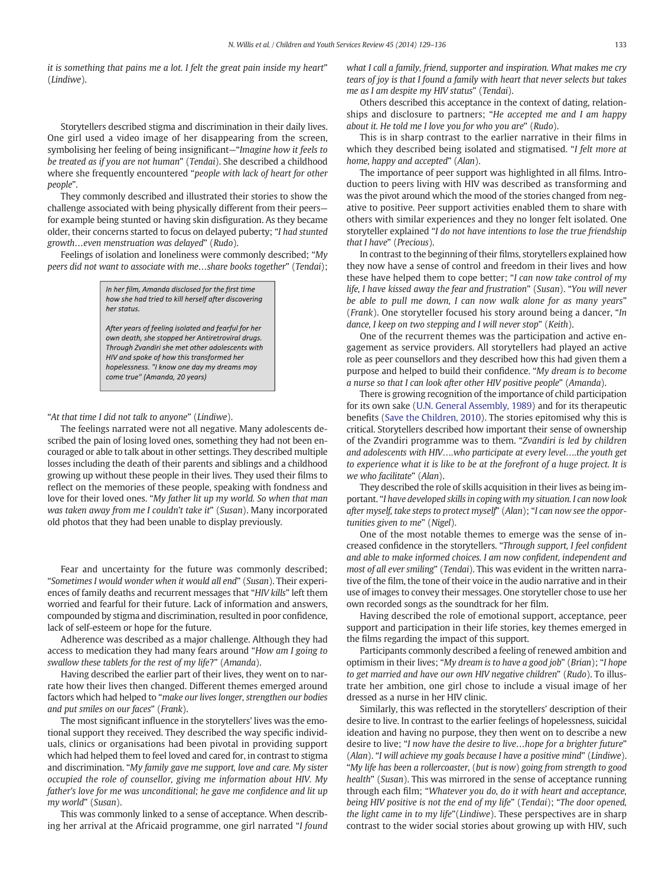it is something that pains me a lot. I felt the great pain inside my heart" (Lindiwe).

Storytellers described stigma and discrimination in their daily lives. One girl used a video image of her disappearing from the screen, symbolising her feeling of being insignificant—"Imagine how it feels to be treated as if you are not human" (Tendai). She described a childhood where she frequently encountered "people with lack of heart for other people".

They commonly described and illustrated their stories to show the challenge associated with being physically different from their peers for example being stunted or having skin disfiguration. As they became older, their concerns started to focus on delayed puberty; "I had stunted growth…even menstruation was delayed" (Rudo).

Feelings of isolation and loneliness were commonly described; "My peers did not want to associate with me…share books together" (Tendai);

> In her film, Amanda disclosed for the first time how she had tried to kill herself after discovering her status.

> After vears of feeling isolated and fearful for her own death, she stopped her Antiretroviral drugs. Through Zvandiri she met other adolescents with HIV and spoke of how this transformed her hopelessness. "I know one day my dreams may come true" (Amanda, 20 years)

#### "At that time I did not talk to anyone" (Lindiwe).

The feelings narrated were not all negative. Many adolescents described the pain of losing loved ones, something they had not been encouraged or able to talk about in other settings. They described multiple losses including the death of their parents and siblings and a childhood growing up without these people in their lives. They used their films to reflect on the memories of these people, speaking with fondness and love for their loved ones. "My father lit up my world. So when that man was taken away from me I couldn't take it" (Susan). Many incorporated old photos that they had been unable to display previously.

Fear and uncertainty for the future was commonly described; "Sometimes I would wonder when it would all end" (Susan). Their experiences of family deaths and recurrent messages that "HIV kills" left them worried and fearful for their future. Lack of information and answers, compounded by stigma and discrimination, resulted in poor confidence, lack of self-esteem or hope for the future.

Adherence was described as a major challenge. Although they had access to medication they had many fears around "How am I going to swallow these tablets for the rest of my life?" (Amanda).

Having described the earlier part of their lives, they went on to narrate how their lives then changed. Different themes emerged around factors which had helped to "make our lives longer, strengthen our bodies and put smiles on our faces" (Frank).

The most significant influence in the storytellers' lives was the emotional support they received. They described the way specific individuals, clinics or organisations had been pivotal in providing support which had helped them to feel loved and cared for, in contrast to stigma and discrimination. "My family gave me support, love and care. My sister occupied the role of counsellor, giving me information about HIV. My father's love for me was unconditional; he gave me confidence and lit up my world" (Susan).

This was commonly linked to a sense of acceptance. When describing her arrival at the Africaid programme, one girl narrated "I found what I call a family, friend, supporter and inspiration. What makes me cry tears of joy is that I found a family with heart that never selects but takes me as I am despite my HIV status" (Tendai).

Others described this acceptance in the context of dating, relationships and disclosure to partners; "He accepted me and I am happy about it. He told me I love you for who you are" (Rudo).

This is in sharp contrast to the earlier narrative in their films in which they described being isolated and stigmatised. "I felt more at home, happy and accepted" (Alan).

The importance of peer support was highlighted in all films. Introduction to peers living with HIV was described as transforming and was the pivot around which the mood of the stories changed from negative to positive. Peer support activities enabled them to share with others with similar experiences and they no longer felt isolated. One storyteller explained "I do not have intentions to lose the true friendship that I have" (Precious).

In contrast to the beginning of their films, storytellers explained how they now have a sense of control and freedom in their lives and how these have helped them to cope better; "I can now take control of my life, I have kissed away the fear and frustration" (Susan). "You will never be able to pull me down, I can now walk alone for as many years" (Frank). One storyteller focused his story around being a dancer, "In dance, I keep on two stepping and I will never stop" (Keith).

One of the recurrent themes was the participation and active engagement as service providers. All storytellers had played an active role as peer counsellors and they described how this had given them a purpose and helped to build their confidence. "My dream is to become a nurse so that I can look after other HIV positive people" (Amanda).

There is growing recognition of the importance of child participation for its own sake [\(U.N. General Assembly, 1989](#page-7-0)) and for its therapeutic benefits [\(Save the Children, 2010\)](#page-7-0). The stories epitomised why this is critical. Storytellers described how important their sense of ownership of the Zvandiri programme was to them. "Zvandiri is led by children and adolescents with HIV….who participate at every level….the youth get to experience what it is like to be at the forefront of a huge project. It is we who facilitate" (Alan).

They described the role of skills acquisition in their lives as being important. "I have developed skills in coping with my situation. I can now look after myself, take steps to protect myself" (Alan); "I can now see the opportunities given to me" (Nigel).

One of the most notable themes to emerge was the sense of increased confidence in the storytellers. "Through support, I feel confident and able to make informed choices. I am now confident, independent and most of all ever smiling" (Tendai). This was evident in the written narrative of the film, the tone of their voice in the audio narrative and in their use of images to convey their messages. One storyteller chose to use her own recorded songs as the soundtrack for her film.

Having described the role of emotional support, acceptance, peer support and participation in their life stories, key themes emerged in the films regarding the impact of this support.

Participants commonly described a feeling of renewed ambition and optimism in their lives; "My dream is to have a good job" (Brian); "I hope to get married and have our own HIV negative children" (Rudo). To illustrate her ambition, one girl chose to include a visual image of her dressed as a nurse in her HIV clinic.

Similarly, this was reflected in the storytellers' description of their desire to live. In contrast to the earlier feelings of hopelessness, suicidal ideation and having no purpose, they then went on to describe a new desire to live; "I now have the desire to live…hope for a brighter future" (Alan). "I will achieve my goals because I have a positive mind" (Lindiwe). "My life has been a rollercoaster, (but is now) going from strength to good health" (Susan). This was mirrored in the sense of acceptance running through each film; "Whatever you do, do it with heart and acceptance, being HIV positive is not the end of my life" (Tendai); "The door opened, the light came in to my life"(Lindiwe). These perspectives are in sharp contrast to the wider social stories about growing up with HIV, such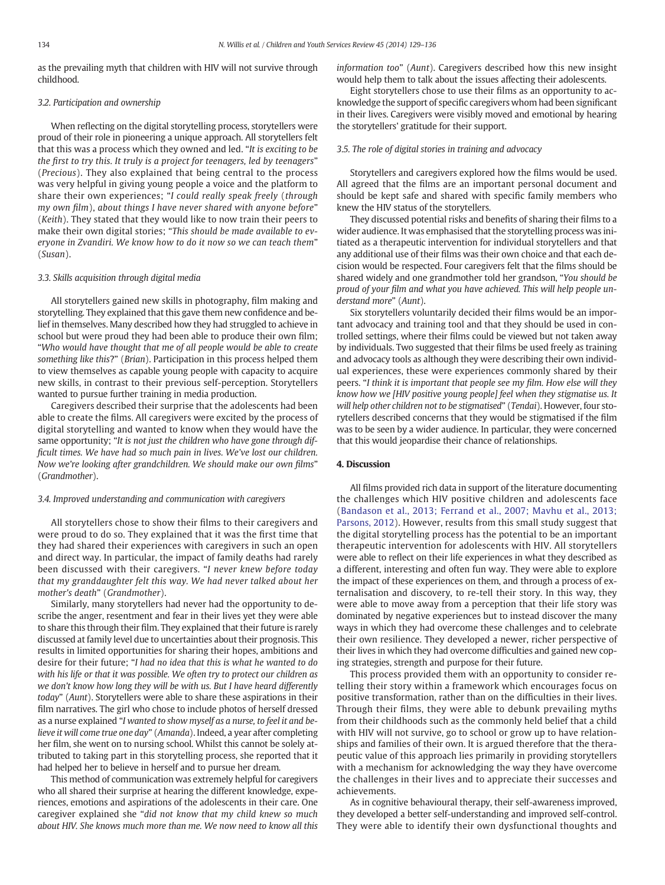as the prevailing myth that children with HIV will not survive through childhood.

#### 3.2. Participation and ownership

When reflecting on the digital storytelling process, storytellers were proud of their role in pioneering a unique approach. All storytellers felt that this was a process which they owned and led. "It is exciting to be the first to try this. It truly is a project for teenagers, led by teenagers" (Precious). They also explained that being central to the process was very helpful in giving young people a voice and the platform to share their own experiences; "I could really speak freely (through my own film), about things I have never shared with anyone before" (Keith). They stated that they would like to now train their peers to make their own digital stories; "This should be made available to everyone in Zvandiri. We know how to do it now so we can teach them" (Susan).

### 3.3. Skills acquisition through digital media

All storytellers gained new skills in photography, film making and storytelling. They explained that this gave them new confidence and belief in themselves. Many described how they had struggled to achieve in school but were proud they had been able to produce their own film; "Who would have thought that me of all people would be able to create something like this?" (Brian). Participation in this process helped them to view themselves as capable young people with capacity to acquire new skills, in contrast to their previous self-perception. Storytellers wanted to pursue further training in media production.

Caregivers described their surprise that the adolescents had been able to create the films. All caregivers were excited by the process of digital storytelling and wanted to know when they would have the same opportunity; "It is not just the children who have gone through difficult times. We have had so much pain in lives. We've lost our children. Now we're looking after grandchildren. We should make our own films" (Grandmother).

#### 3.4. Improved understanding and communication with caregivers

All storytellers chose to show their films to their caregivers and were proud to do so. They explained that it was the first time that they had shared their experiences with caregivers in such an open and direct way. In particular, the impact of family deaths had rarely been discussed with their caregivers. "I never knew before today that my granddaughter felt this way. We had never talked about her mother's death" (Grandmother).

Similarly, many storytellers had never had the opportunity to describe the anger, resentment and fear in their lives yet they were able to share this through their film. They explained that their future is rarely discussed at family level due to uncertainties about their prognosis. This results in limited opportunities for sharing their hopes, ambitions and desire for their future; "I had no idea that this is what he wanted to do with his life or that it was possible. We often try to protect our children as we don't know how long they will be with us. But I have heard differently today" (Aunt). Storytellers were able to share these aspirations in their film narratives. The girl who chose to include photos of herself dressed as a nurse explained "I wanted to show myself as a nurse, to feel it and believe it will come true one day" (Amanda). Indeed, a year after completing her film, she went on to nursing school. Whilst this cannot be solely attributed to taking part in this storytelling process, she reported that it had helped her to believe in herself and to pursue her dream.

This method of communication was extremely helpful for caregivers who all shared their surprise at hearing the different knowledge, experiences, emotions and aspirations of the adolescents in their care. One caregiver explained she "did not know that my child knew so much about HIV. She knows much more than me. We now need to know all this information too" (Aunt). Caregivers described how this new insight would help them to talk about the issues affecting their adolescents.

Eight storytellers chose to use their films as an opportunity to acknowledge the support of specific caregivers whom had been significant in their lives. Caregivers were visibly moved and emotional by hearing the storytellers' gratitude for their support.

#### 3.5. The role of digital stories in training and advocacy

Storytellers and caregivers explored how the films would be used. All agreed that the films are an important personal document and should be kept safe and shared with specific family members who knew the HIV status of the storytellers.

They discussed potential risks and benefits of sharing their films to a wider audience. It was emphasised that the storytelling process was initiated as a therapeutic intervention for individual storytellers and that any additional use of their films was their own choice and that each decision would be respected. Four caregivers felt that the films should be shared widely and one grandmother told her grandson, "You should be proud of your film and what you have achieved. This will help people understand more" (Aunt).

Six storytellers voluntarily decided their films would be an important advocacy and training tool and that they should be used in controlled settings, where their films could be viewed but not taken away by individuals. Two suggested that their films be used freely as training and advocacy tools as although they were describing their own individual experiences, these were experiences commonly shared by their peers. "I think it is important that people see my film. How else will they know how we [HIV positive young people] feel when they stigmatise us. It will help other children not to be stigmatised" (Tendai). However, four storytellers described concerns that they would be stigmatised if the film was to be seen by a wider audience. In particular, they were concerned that this would jeopardise their chance of relationships.

# 4. Discussion

All films provided rich data in support of the literature documenting the challenges which HIV positive children and adolescents face ([Bandason et al., 2013; Ferrand et al., 2007; Mavhu et al., 2013;](#page-6-0) [Parsons, 2012](#page-6-0)). However, results from this small study suggest that the digital storytelling process has the potential to be an important therapeutic intervention for adolescents with HIV. All storytellers were able to reflect on their life experiences in what they described as a different, interesting and often fun way. They were able to explore the impact of these experiences on them, and through a process of externalisation and discovery, to re-tell their story. In this way, they were able to move away from a perception that their life story was dominated by negative experiences but to instead discover the many ways in which they had overcome these challenges and to celebrate their own resilience. They developed a newer, richer perspective of their lives in which they had overcome difficulties and gained new coping strategies, strength and purpose for their future.

This process provided them with an opportunity to consider retelling their story within a framework which encourages focus on positive transformation, rather than on the difficulties in their lives. Through their films, they were able to debunk prevailing myths from their childhoods such as the commonly held belief that a child with HIV will not survive, go to school or grow up to have relationships and families of their own. It is argued therefore that the therapeutic value of this approach lies primarily in providing storytellers with a mechanism for acknowledging the way they have overcome the challenges in their lives and to appreciate their successes and achievements.

As in cognitive behavioural therapy, their self-awareness improved, they developed a better self-understanding and improved self-control. They were able to identify their own dysfunctional thoughts and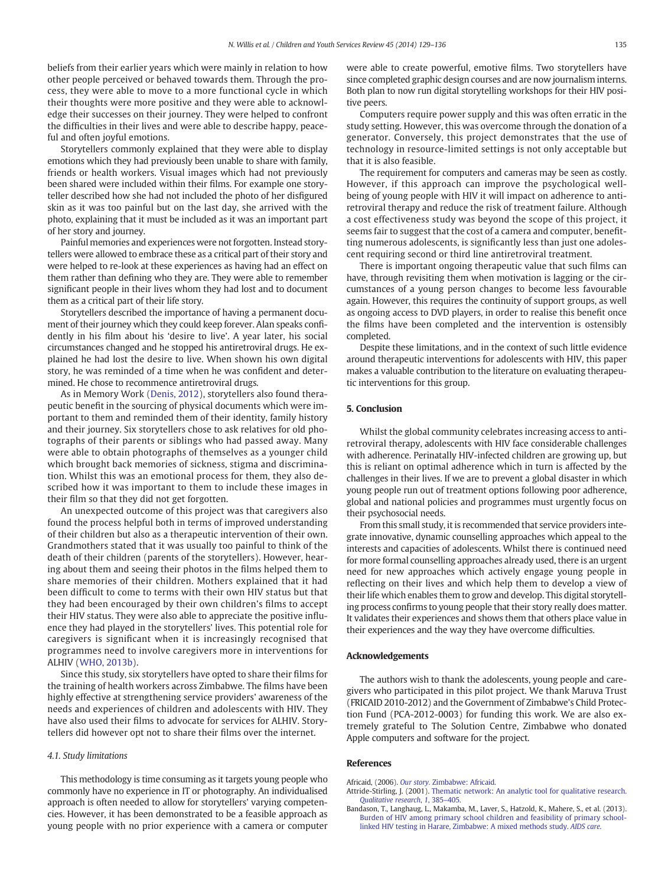<span id="page-6-0"></span>beliefs from their earlier years which were mainly in relation to how other people perceived or behaved towards them. Through the process, they were able to move to a more functional cycle in which their thoughts were more positive and they were able to acknowledge their successes on their journey. They were helped to confront the difficulties in their lives and were able to describe happy, peaceful and often joyful emotions.

Storytellers commonly explained that they were able to display emotions which they had previously been unable to share with family, friends or health workers. Visual images which had not previously been shared were included within their films. For example one storyteller described how she had not included the photo of her disfigured skin as it was too painful but on the last day, she arrived with the photo, explaining that it must be included as it was an important part of her story and journey.

Painful memories and experiences were not forgotten. Instead storytellers were allowed to embrace these as a critical part of their story and were helped to re-look at these experiences as having had an effect on them rather than defining who they are. They were able to remember significant people in their lives whom they had lost and to document them as a critical part of their life story.

Storytellers described the importance of having a permanent document of their journey which they could keep forever. Alan speaks confidently in his film about his 'desire to live'. A year later, his social circumstances changed and he stopped his antiretroviral drugs. He explained he had lost the desire to live. When shown his own digital story, he was reminded of a time when he was confident and determined. He chose to recommence antiretroviral drugs.

As in Memory Work ([Denis, 2012](#page-7-0)), storytellers also found therapeutic benefit in the sourcing of physical documents which were important to them and reminded them of their identity, family history and their journey. Six storytellers chose to ask relatives for old photographs of their parents or siblings who had passed away. Many were able to obtain photographs of themselves as a younger child which brought back memories of sickness, stigma and discrimination. Whilst this was an emotional process for them, they also described how it was important to them to include these images in their film so that they did not get forgotten.

An unexpected outcome of this project was that caregivers also found the process helpful both in terms of improved understanding of their children but also as a therapeutic intervention of their own. Grandmothers stated that it was usually too painful to think of the death of their children (parents of the storytellers). However, hearing about them and seeing their photos in the films helped them to share memories of their children. Mothers explained that it had been difficult to come to terms with their own HIV status but that they had been encouraged by their own children's films to accept their HIV status. They were also able to appreciate the positive influence they had played in the storytellers' lives. This potential role for caregivers is significant when it is increasingly recognised that programmes need to involve caregivers more in interventions for ALHIV [\(WHO, 2013b\)](#page-7-0).

Since this study, six storytellers have opted to share their films for the training of health workers across Zimbabwe. The films have been highly effective at strengthening service providers' awareness of the needs and experiences of children and adolescents with HIV. They have also used their films to advocate for services for ALHIV. Storytellers did however opt not to share their films over the internet.

#### 4.1. Study limitations

This methodology is time consuming as it targets young people who commonly have no experience in IT or photography. An individualised approach is often needed to allow for storytellers' varying competencies. However, it has been demonstrated to be a feasible approach as young people with no prior experience with a camera or computer were able to create powerful, emotive films. Two storytellers have since completed graphic design courses and are now journalism interns. Both plan to now run digital storytelling workshops for their HIV positive peers.

Computers require power supply and this was often erratic in the study setting. However, this was overcome through the donation of a generator. Conversely, this project demonstrates that the use of technology in resource-limited settings is not only acceptable but that it is also feasible.

The requirement for computers and cameras may be seen as costly. However, if this approach can improve the psychological wellbeing of young people with HIV it will impact on adherence to antiretroviral therapy and reduce the risk of treatment failure. Although a cost effectiveness study was beyond the scope of this project, it seems fair to suggest that the cost of a camera and computer, benefitting numerous adolescents, is significantly less than just one adolescent requiring second or third line antiretroviral treatment.

There is important ongoing therapeutic value that such films can have, through revisiting them when motivation is lagging or the circumstances of a young person changes to become less favourable again. However, this requires the continuity of support groups, as well as ongoing access to DVD players, in order to realise this benefit once the films have been completed and the intervention is ostensibly completed.

Despite these limitations, and in the context of such little evidence around therapeutic interventions for adolescents with HIV, this paper makes a valuable contribution to the literature on evaluating therapeutic interventions for this group.

### 5. Conclusion

Whilst the global community celebrates increasing access to antiretroviral therapy, adolescents with HIV face considerable challenges with adherence. Perinatally HIV-infected children are growing up, but this is reliant on optimal adherence which in turn is affected by the challenges in their lives. If we are to prevent a global disaster in which young people run out of treatment options following poor adherence, global and national policies and programmes must urgently focus on their psychosocial needs.

From this small study, it is recommended that service providers integrate innovative, dynamic counselling approaches which appeal to the interests and capacities of adolescents. Whilst there is continued need for more formal counselling approaches already used, there is an urgent need for new approaches which actively engage young people in reflecting on their lives and which help them to develop a view of their life which enables them to grow and develop. This digital storytelling process confirms to young people that their story really does matter. It validates their experiences and shows them that others place value in their experiences and the way they have overcome difficulties.

#### Acknowledgements

The authors wish to thank the adolescents, young people and caregivers who participated in this pilot project. We thank Maruva Trust (FRICAID 2010-2012) and the Government of Zimbabwe's Child Protection Fund (PCA-2012-0003) for funding this work. We are also extremely grateful to The Solution Centre, Zimbabwe who donated Apple computers and software for the project.

#### References

- Africaid, (2006). Our story. [Zimbabwe: Africaid.](http://refhub.elsevier.com/S0190-7409(14)00135-2/rf0005)
- Attride-Stirling, J. (2001). [Thematic network: An analytic tool for qualitative research.](http://refhub.elsevier.com/S0190-7409(14)00135-2/rf0010) [Qualitative research](http://refhub.elsevier.com/S0190-7409(14)00135-2/rf0010), 1, 385–405.
- Bandason, T., Langhaug, L., Makamba, M., Laver, S., Hatzold, K., Mahere, S., et al. (2013). [Burden of HIV among primary school children and feasibility of primary school](http://refhub.elsevier.com/S0190-7409(14)00135-2/rf0095)[linked HIV testing in Harare, Zimbabwe: A mixed methods study.](http://refhub.elsevier.com/S0190-7409(14)00135-2/rf0095) AIDS care.